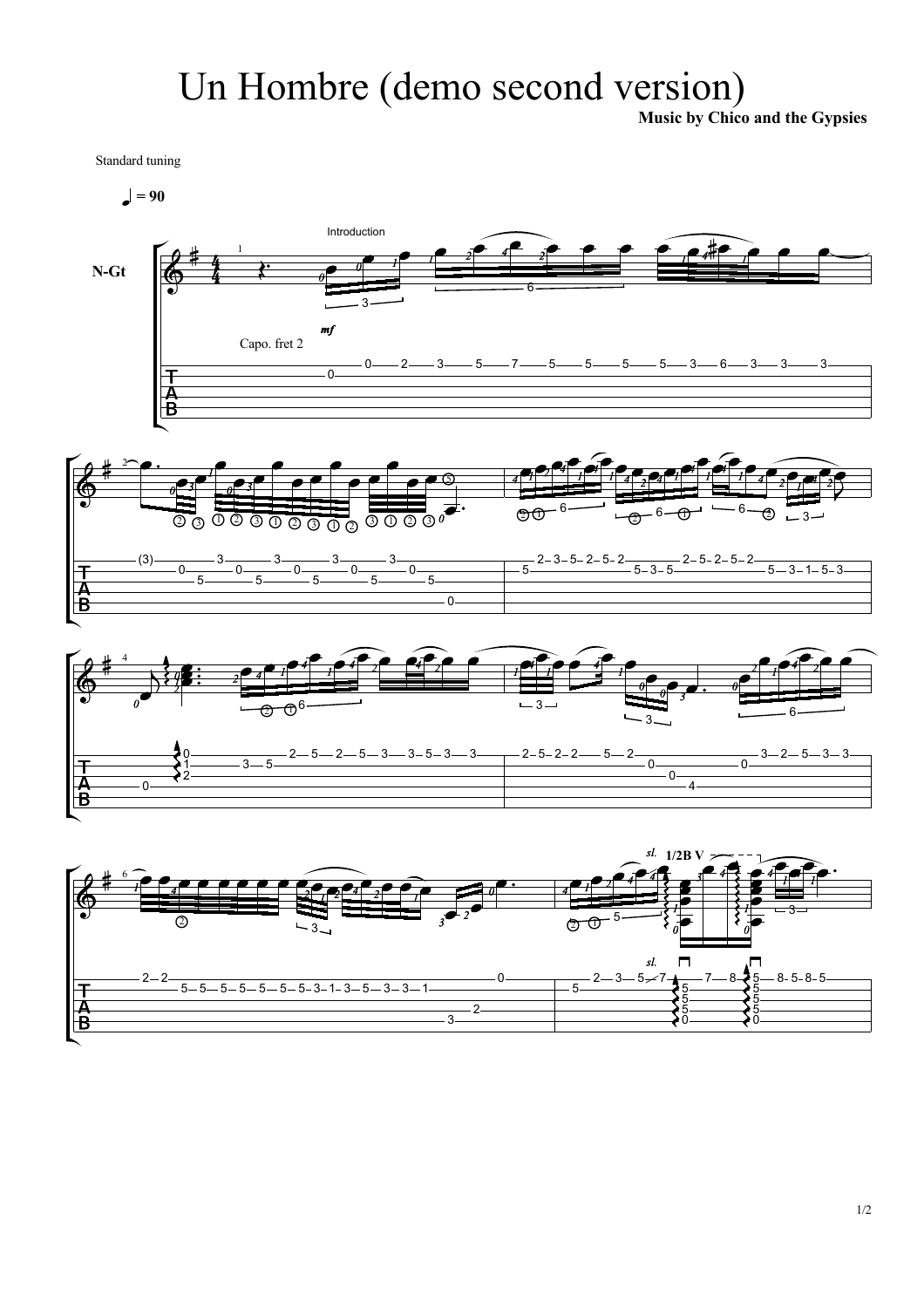## Un Hombre (demo second version)

Music by Chico and the Gypsies

Standard tuning